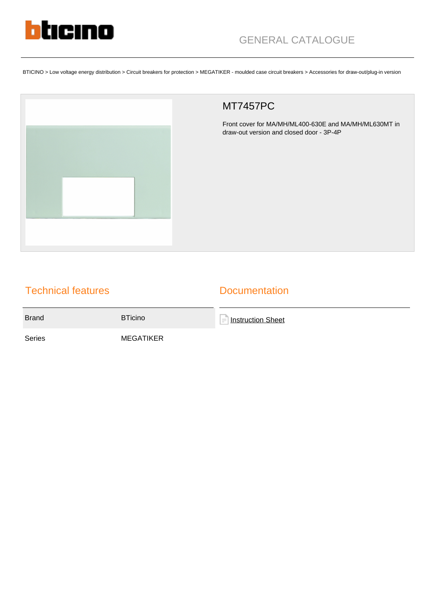

BTICINO > Low voltage energy distribution > Circuit breakers for protection > MEGATIKER - moulded case circuit breakers > Accessories for draw-out/plug-in version



## MT7457PC

Front cover for MA/MH/ML400-630E and MA/MH/ML630MT in draw-out version and closed door - 3P-4P

## Technical features

## **Documentation**

Brand BTicino **[Instruction Sheet](https://catalogue.bticino.com/app/webroot/low_res/489994_509546_LE04289AA.pdf)** 

Series MEGATIKER